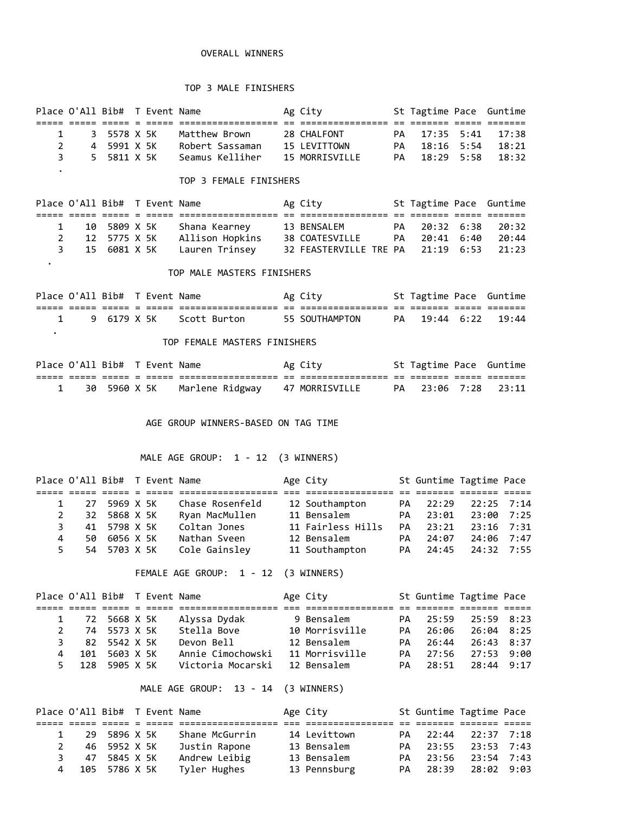### OVERALL WINNERS

### TOP 3 MALE FINISHERS

|              |             | Place O'All Bib# T Event Name |                 | Ag City        | St Tagtime Pace Guntime |       |
|--------------|-------------|-------------------------------|-----------------|----------------|-------------------------|-------|
|              |             |                               |                 |                |                         |       |
| $\mathbf{1}$ | 3 5578 X 5K |                               | Matthew Brown   | 28 CHALFONT    | PA 17:35 5:41 17:38     |       |
|              | 4 5991 X 5K |                               | Robert Sassaman | 15 LEVITTOWN   | PA 18:16 5:54           | 18:21 |
| २ ।          | 5 5811 X 5K |                               | Seamus Kelliher | 15 MORRISVILLE | PA 18:29 5:58 18:32     |       |
|              |             |                               |                 |                |                         |       |

### TOP 3 FEMALE FINISHERS

| Place O'All Bib# T Event Name |  |                               | Ag City        | St Tagtime Pace Guntime |  |  |
|-------------------------------|--|-------------------------------|----------------|-------------------------|--|--|
|                               |  |                               |                |                         |  |  |
| 1 10 5809 X 5K                |  | Shana Kearney                 | 13 BENSALEM    | PA 20:32 6:38 20:32     |  |  |
| 2 12 5775 X 5K                |  | Allison Hopkins               | 38 COATESVILLE | PA 20:41 6:40 20:44     |  |  |
|                               |  | 3 15 6081 X 5K Lauren Trinsey |                |                         |  |  |

#### TOP MALE MASTERS FINISHERS

.

Place O'All Bib# T Event Name Ag City St Tagtime Pace Guntime ===== ===== ===== = ===== ================== == ================ == ======= ===== ======= 1 9 6179 X 5K Scott Burton 55 SOUTHAMPTON PA 19:44 6:22 19:44 .

## TOP FEMALE MASTERS FINISHERS

|  | Place O'All Bib# T Event Name |  |                                                 | Ag City |  | St Tagtime Pace Guntime |
|--|-------------------------------|--|-------------------------------------------------|---------|--|-------------------------|
|  |                               |  |                                                 |         |  |                         |
|  |                               |  | 30 5960 X 5K   Marlene Ridgway   47 MORRISVILLE |         |  | PA 23:06 7:28 23:11     |

#### AGE GROUP WINNERS-BASED ON TAG TIME

### MALE AGE GROUP: 1 - 12 (3 WINNERS)

|    | Place O'All Bib# T Event Name |              |  |                 | Age City          |     | St Guntime Tagtime Pace |                |  |
|----|-------------------------------|--------------|--|-----------------|-------------------|-----|-------------------------|----------------|--|
|    |                               |              |  |                 |                   |     |                         |                |  |
|    |                               | 27 5969 X 5K |  | Chase Rosenfeld | 12 Southampton    | PA  | 22:29                   | $22:25$ 7:14   |  |
|    |                               | 32 5868 X 5K |  | Ryan MacMullen  | 11 Bensalem       | PA  | 23:01                   | $23:00$ 7:25   |  |
|    |                               | 41 5798 X 5K |  | Coltan Jones    | 11 Fairless Hills | PA. | 23:21                   | $23:16$ $7:31$ |  |
| 4  |                               | 50 6056 X 5K |  | Nathan Sveen    | 12 Bensalem       | PA  | 24:07                   | 24:06 7:47     |  |
| 5. |                               | 54 5703 X 5K |  | Cole Gainsley   | 11 Southampton    |     | PA 24:45                | 24:32 7:55     |  |

FEMALE AGE GROUP: 1 - 12 (3 WINNERS)

|   |             | Place O'All Bib# T Event Name |  |                   | Age City       |     |       | St Guntime Tagtime Pace |      |
|---|-------------|-------------------------------|--|-------------------|----------------|-----|-------|-------------------------|------|
|   |             |                               |  |                   |                |     |       |                         |      |
|   |             | 1 72 5668 X 5K                |  | Alyssa Dydak      | 9 Bensalem     | PA. | 25:59 | 25:59 8:23              |      |
|   | $2^{\circ}$ | 74 5573 X 5K                  |  | Stella Bove       | 10 Morrisville | PA  | 26:06 | $26:04$ 8:25            |      |
|   | 3.          | 82 5542 X 5K                  |  | Devon Bell        | 12 Bensalem    | PA. | 26:44 | 26:43 8:37              |      |
| 4 | 101         | 5603 X 5K                     |  | Annie Cimochowski | 11 Morrisville | PA. | 27:56 | 27:53                   | 9:00 |
|   | 5 128       | 5905 X 5K                     |  | Victoria Mocarski | 12 Bensalem    | PA. | 28:51 | 28:44 9:17              |      |

MALE AGE GROUP: 13 - 14 (3 WINNERS)

| Place O'All Bib# T Event Name |              |  |                | Age City     |  | St Guntime Tagtime Pace |  |
|-------------------------------|--------------|--|----------------|--------------|--|-------------------------|--|
|                               |              |  |                |              |  |                         |  |
| $\mathbf{1}$                  | 29 5896 X 5K |  | Shane McGurrin | 14 Levittown |  | PA 22:44 22:37 7:18     |  |
|                               | 46 5952 X 5K |  | Justin Rapone  | 13 Bensalem  |  | PA 23:55 23:53 7:43     |  |
| 3.                            | 47 5845 X 5K |  | Andrew Leibig  | 13 Bensalem  |  | PA 23:56 23:54 7:43     |  |
| 4 105 5786 X 5K               |              |  | Tyler Hughes   | 13 Pennsburg |  | PA 28:39 28:02 9:03     |  |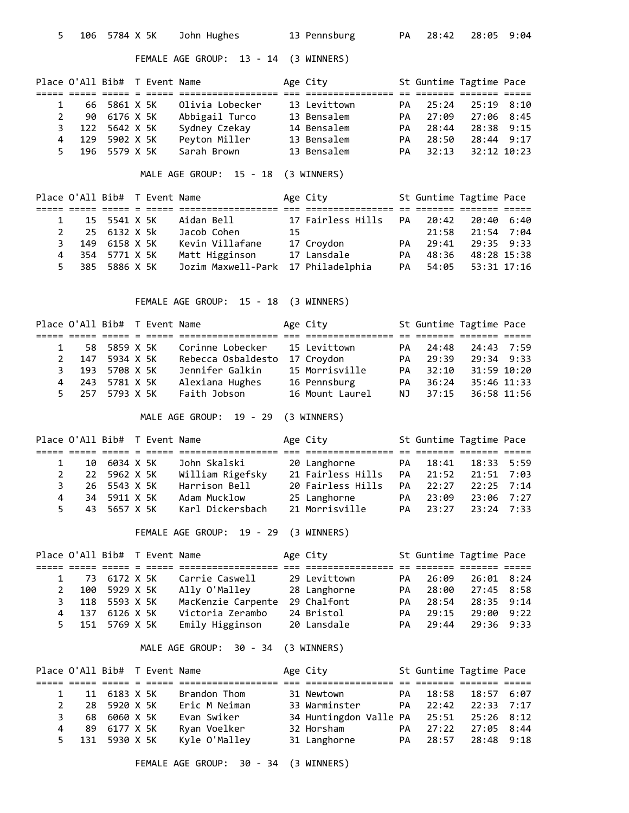| 5              | 106                                                           | 5784 X 5K              |                                                                                                                                                                                                                                                                                                                                                                                              | John Hughes                         |    | 13 Pennsburg               | PA       | 28:42                    | 28:05                | 9:04 |
|----------------|---------------------------------------------------------------|------------------------|----------------------------------------------------------------------------------------------------------------------------------------------------------------------------------------------------------------------------------------------------------------------------------------------------------------------------------------------------------------------------------------------|-------------------------------------|----|----------------------------|----------|--------------------------|----------------------|------|
|                |                                                               |                        |                                                                                                                                                                                                                                                                                                                                                                                              | FEMALE AGE GROUP: 13 - 14           |    | (3 WINNERS)                |          |                          |                      |      |
|                | Place O'All Bib# T Event Name                                 |                        |                                                                                                                                                                                                                                                                                                                                                                                              |                                     |    | Age City                   |          | St Guntime Tagtime Pace  |                      |      |
|                | ===== ===== ===== =                                           |                        | $\frac{1}{1} \frac{1}{1} \frac{1}{1} \frac{1}{1} \frac{1}{1} \frac{1}{1} \frac{1}{1} \frac{1}{1} \frac{1}{1} \frac{1}{1} \frac{1}{1} \frac{1}{1} \frac{1}{1} \frac{1}{1} \frac{1}{1} \frac{1}{1} \frac{1}{1} \frac{1}{1} \frac{1}{1} \frac{1}{1} \frac{1}{1} \frac{1}{1} \frac{1}{1} \frac{1}{1} \frac{1}{1} \frac{1}{1} \frac{1}{1} \frac{1}{1} \frac{1}{1} \frac{1}{1} \frac{1}{1} \frac{$ |                                     |    | see eesseessee:            |          | ti itititi itititi ititi |                      |      |
| 1              | 66                                                            | 5861 X 5K              |                                                                                                                                                                                                                                                                                                                                                                                              | Olivia Lobecker                     |    | 13 Levittown               | PA       | 25:24                    | 25:19 8:10           |      |
| $\overline{2}$ | 90                                                            | 6176 X 5K              |                                                                                                                                                                                                                                                                                                                                                                                              | Abbigail Turco                      |    | 13 Bensalem                | PA       | 27:09                    | 27:06                | 8:45 |
| 3              | 122                                                           | 5642 X 5K              |                                                                                                                                                                                                                                                                                                                                                                                              | Sydney Czekay                       |    | 14 Bensalem                | PA       | 28:44                    | 28:38                | 9:15 |
| 4<br>5         | 129<br>196                                                    | 5902 X 5K<br>5579 X 5K |                                                                                                                                                                                                                                                                                                                                                                                              | Peyton Miller<br>Sarah Brown        |    | 13 Bensalem<br>13 Bensalem | PA<br>PA | 28:50<br>32:13           | 28:44<br>32:12 10:23 | 9:17 |
|                |                                                               |                        |                                                                                                                                                                                                                                                                                                                                                                                              |                                     |    |                            |          |                          |                      |      |
|                |                                                               |                        |                                                                                                                                                                                                                                                                                                                                                                                              | MALE AGE GROUP: 15 - 18 (3 WINNERS) |    |                            |          |                          |                      |      |
|                | Place O'All Bib# T Event Name                                 |                        |                                                                                                                                                                                                                                                                                                                                                                                              |                                     |    | Age City                   |          | St Guntime Tagtime Pace  |                      |      |
| $\mathbf{1}$   | 15                                                            | 5541 X 5K              |                                                                                                                                                                                                                                                                                                                                                                                              | Aidan Bell                          |    | 17 Fairless Hills          | PA       | 20:42                    | 20:40                | 6:40 |
| $\overline{2}$ | 25                                                            | 6132 X 5k              |                                                                                                                                                                                                                                                                                                                                                                                              | Jacob Cohen                         | 15 |                            |          | 21:58                    | 21:54                | 7:04 |
| 3              | 149                                                           | 6158 X 5K              |                                                                                                                                                                                                                                                                                                                                                                                              | Kevin Villafane                     |    | 17 Croydon                 | PA       | 29:41                    | 29:35                | 9:33 |
| 4              | 354                                                           | 5771 X 5K              |                                                                                                                                                                                                                                                                                                                                                                                              | Matt Higginson                      |    | 17 Lansdale                | PA       | 48:36                    | 48:28 15:38          |      |
| 5              | 385                                                           | 5886 X 5K              |                                                                                                                                                                                                                                                                                                                                                                                              | Jozim Maxwell-Park                  |    | 17 Philadelphia            | PA       | 54:05                    | 53:31 17:16          |      |
|                |                                                               |                        |                                                                                                                                                                                                                                                                                                                                                                                              | FEMALE AGE GROUP: 15 - 18           |    | (3 WINNERS)                |          |                          |                      |      |
|                | Place O'All Bib# T Event Name                                 |                        |                                                                                                                                                                                                                                                                                                                                                                                              |                                     |    | Age City                   |          | St Guntime Tagtime Pace  |                      |      |
|                |                                                               |                        |                                                                                                                                                                                                                                                                                                                                                                                              |                                     |    |                            |          |                          |                      |      |
| 1              | 58                                                            | 5859 X 5K              |                                                                                                                                                                                                                                                                                                                                                                                              | Corinne Lobecker                    |    | 15 Levittown               | PA       | 24:48                    | 24:43                | 7:59 |
| $\overline{2}$ | 147                                                           | 5934 X 5K              |                                                                                                                                                                                                                                                                                                                                                                                              | Rebecca Osbaldesto                  |    | 17 Croydon                 | PA       | 29:39                    | 29:34                | 9:33 |
| 3              | 193                                                           | 5708 X 5K              |                                                                                                                                                                                                                                                                                                                                                                                              | Jennifer Galkin                     |    | 15 Morrisville             | PA       | 32:10                    | 31:59 10:20          |      |
| 4              | 243                                                           | 5781 X 5K              |                                                                                                                                                                                                                                                                                                                                                                                              | Alexiana Hughes                     |    | 16 Pennsburg               | PA       | 36:24                    | 35:46 11:33          |      |
| 5              | 257                                                           | 5793 X 5K              |                                                                                                                                                                                                                                                                                                                                                                                              | Faith Jobson                        |    | 16 Mount Laurel            | NJ       | 37:15                    | 36:58 11:56          |      |
|                |                                                               |                        |                                                                                                                                                                                                                                                                                                                                                                                              | MALE AGE GROUP: 19 - 29             |    | (3 WINNERS)                |          |                          |                      |      |
|                | Place O'All Bib# T Event Name<br>===== ===== ===== = ===== == |                        |                                                                                                                                                                                                                                                                                                                                                                                              |                                     |    | Age City                   |          | St Guntime Tagtime Pace  |                      |      |
| 1              | 10                                                            | 6034 X 5K              |                                                                                                                                                                                                                                                                                                                                                                                              | John Skalski                        |    | 20 Langhorne               | PA       | 18:41                    | 18:33                | 5:59 |
| 2              | 22                                                            | 5962 X 5K              |                                                                                                                                                                                                                                                                                                                                                                                              | William Rigefsky                    |    | 21 Fairless Hills          | PА       | 21:52                    | 21:51                | 7:03 |
| 3              | 26                                                            | 5543 X 5K              |                                                                                                                                                                                                                                                                                                                                                                                              | Harrison Bell                       |    | 20 Fairless Hills          | PА       | 22:27                    | 22:25                | 7:14 |
| 4              | 34                                                            | 5911 X 5K              |                                                                                                                                                                                                                                                                                                                                                                                              | Adam Mucklow                        |    | 25 Langhorne               | PA       | 23:09                    | 23:06                | 7:27 |
| 5              | 43                                                            | 5657 X 5K              |                                                                                                                                                                                                                                                                                                                                                                                              | Karl Dickersbach                    |    | 21 Morrisville             | PA       | 23:27                    | 23:24                | 7:33 |
|                |                                                               |                        |                                                                                                                                                                                                                                                                                                                                                                                              | FEMALE AGE GROUP: 19 - 29           |    | (3 WINNERS)                |          |                          |                      |      |
|                | Place O'All Bib# T Event Name                                 |                        |                                                                                                                                                                                                                                                                                                                                                                                              |                                     |    | Age City                   |          | St Guntime Tagtime Pace  |                      |      |
| 1              |                                                               | 73 6172 X 5K           |                                                                                                                                                                                                                                                                                                                                                                                              | Carrie Caswell                      |    | 29 Levittown               | PA       | 26:09                    | 26:01 8:24           |      |
| $\overline{2}$ | 100                                                           | 5929 X 5K              |                                                                                                                                                                                                                                                                                                                                                                                              | Ally O'Malley                       |    | 28 Langhorne               | PA       | 28:00                    | 27:45 8:58           |      |
| 3              |                                                               | 118 5593 X 5K          |                                                                                                                                                                                                                                                                                                                                                                                              | MacKenzie Carpente                  |    | 29 Chalfont                | PA       | 28:54                    | 28:35                | 9:14 |
| 4              | 137                                                           | 6126 X 5K              |                                                                                                                                                                                                                                                                                                                                                                                              | Victoria Zerambo                    |    | 24 Bristol                 | PA       | 29:15                    | 29:00                | 9:22 |
| 5              | 151                                                           | 5769 X 5K              |                                                                                                                                                                                                                                                                                                                                                                                              | Emily Higginson                     |    | 20 Lansdale                | PA       | 29:44                    | 29:36                | 9:33 |
|                |                                                               |                        |                                                                                                                                                                                                                                                                                                                                                                                              | MALE AGE GROUP: 30 - 34 (3 WINNERS) |    |                            |          |                          |                      |      |
|                | Place O'All Bib# T Event Name                                 |                        |                                                                                                                                                                                                                                                                                                                                                                                              |                                     |    | Age City                   |          | St Guntime Tagtime Pace  |                      |      |
| 1              | 11                                                            | 6183 X 5K              |                                                                                                                                                                                                                                                                                                                                                                                              | Brandon Thom                        |    | 31 Newtown                 | PA       | 18:58                    | 18:57                | 6:07 |
| 2              | 28                                                            | 5920 X 5K              |                                                                                                                                                                                                                                                                                                                                                                                              | Eric M Neiman                       |    | 33 Warminster              | PA       | 22:42                    | 22:33                | 7:17 |
| 3              | 68                                                            | 6060 X 5K              |                                                                                                                                                                                                                                                                                                                                                                                              | Evan Swiker                         |    | 34 Huntingdon Valle PA     |          | 25:51                    | 25:26                | 8:12 |
| 4              | 89                                                            | 6177 X 5K              |                                                                                                                                                                                                                                                                                                                                                                                              | Ryan Voelker                        |    | 32 Horsham                 | PA       | 27:22                    | 27:05                | 8:44 |
| 5              | 131                                                           | 5930 X 5K              |                                                                                                                                                                                                                                                                                                                                                                                              | Kyle O'Malley                       |    | 31 Langhorne               | PА       | 28:57                    | 28:48                | 9:18 |
|                |                                                               |                        |                                                                                                                                                                                                                                                                                                                                                                                              |                                     |    |                            |          |                          |                      |      |

FEMALE AGE GROUP: 30 - 34 (3 WINNERS)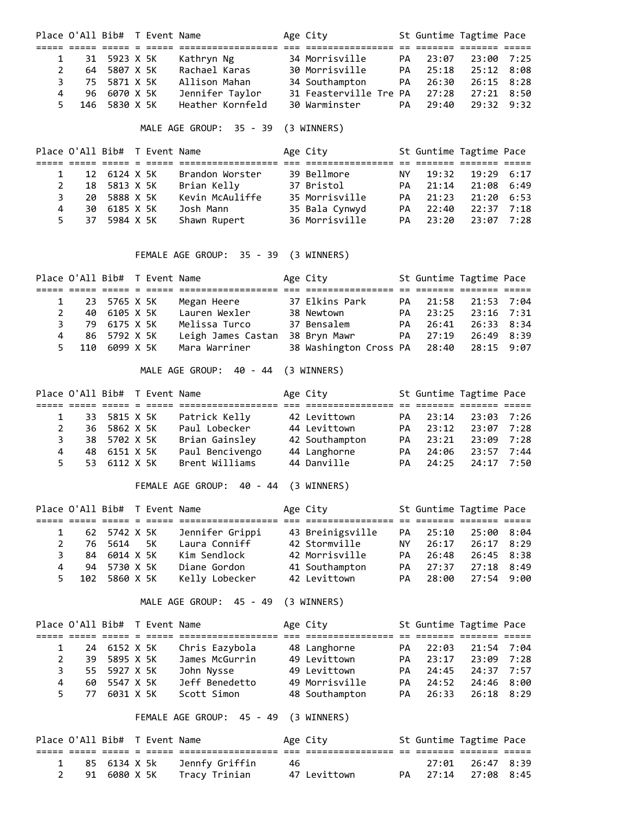|   |    |               | Place O'All Bib# T Event Name |                  | Age City                     |           | St Guntime Tagtime Pace |              |  |
|---|----|---------------|-------------------------------|------------------|------------------------------|-----------|-------------------------|--------------|--|
|   |    |               |                               |                  |                              |           |                         |              |  |
|   |    | 31 5923 X 5K  |                               | Kathryn Ng       | 34 Morrisville               |           | PA 23:07                | $23:00$ 7:25 |  |
|   |    | 64 5807 X 5K  |                               | Rachael Karas    | 30 Morrisville               | <b>PA</b> | 25:18                   | 25:12 8:08   |  |
|   |    | 75 5871 X 5K  |                               | Allison Mahan    | 34 Southampton               | <b>PA</b> | 26:30                   | $26:15$ 8:28 |  |
| 4 |    | 96 6070 X 5K  |                               | Jennifer Taylor  | 31 Feasterville Tre PA 27:28 |           |                         | 27:21 8:50   |  |
|   | 5. | 146 5830 X 5K |                               | Heather Kornfeld | 30 Warminster                | <b>PA</b> | 29:40                   | 29:32 9:32   |  |
|   |    |               |                               |                  |                              |           |                         |              |  |

MALE AGE GROUP: 35 - 39 (3 WINNERS)

|              |          | Place O'All Bib# T Event Name |  |                 | Age City       |     | St Guntime Tagtime Pace |              |      |
|--------------|----------|-------------------------------|--|-----------------|----------------|-----|-------------------------|--------------|------|
|              |          |                               |  |                 |                |     |                         |              |      |
|              |          | 12 6124 X 5K                  |  | Brandon Worster | 39 Bellmore    | NY. | 19:32                   | $19:29$ 6:17 |      |
| $\mathbf{2}$ | 18       | 5813 X 5K                     |  | Brian Kelly     | 37 Bristol     | PA. | 21:14                   | 21:08 6:49   |      |
| 3            | 20.      | 5888 X 5K                     |  | Kevin McAuliffe | 35 Morrisville | PA  | 21:23                   | $21:20$ 6:53 |      |
| 4            | 30.      | 6185 X 5K                     |  | Josh Mann       | 35 Bala Cynwyd | PA  | 22:40                   | 22:37        | 7:18 |
|              | 37<br>5. | 5984 X 5K                     |  | Shawn Rupert    | 36 Morrisville | PA  | 23:20                   | 23:07 7:28   |      |

FEMALE AGE GROUP: 35 - 39 (3 WINNERS)

| Place O'All Bib# T Event Name |              |  |                    | Age City                                |           | St Guntime Tagtime Pace |                |  |
|-------------------------------|--------------|--|--------------------|-----------------------------------------|-----------|-------------------------|----------------|--|
|                               |              |  |                    |                                         |           |                         |                |  |
| 1 23 5765 X 5K                |              |  | Megan Heere        | 37 Elkins Park                          |           | PA 21:58                | 21:53 7:04     |  |
|                               | 40 6105 X 5K |  | Lauren Wexler      | 38 Newtown                              | <b>PA</b> | 23:25                   | $23:16$ $7:31$ |  |
| 3.                            | 79 6175 X 5K |  | Melissa Turco      | 37 Bensalem                             |           | PA 26:41                | 26:33 8:34     |  |
| 4 86 5792 X 5K                |              |  | Leigh James Castan | 38 Bryn Mawr                            | PA        | 27:19                   | 26:49 8:39     |  |
| 5 110 6099 X 5K               |              |  | Mara Warriner      | 38 Washington Cross PA 28:40 28:15 9:07 |           |                         |                |  |

MALE AGE GROUP: 40 - 44 (3 WINNERS)

|             | Place O'All Bib# T Event Name |              |  |                 | Age City       |    | St Guntime Tagtime Pace |                  |      |  |
|-------------|-------------------------------|--------------|--|-----------------|----------------|----|-------------------------|------------------|------|--|
|             |                               |              |  |                 |                |    |                         |                  |      |  |
|             |                               | 33 5815 X 5K |  | Patrick Kelly   | 42 Levittown   | PA | 23:14                   | 23:03 7:26       |      |  |
| $2^{\circ}$ |                               | 36 5862 X 5K |  | Paul Lobecker   | 44 Levittown   | PA | 23:12                   | 23:07 7:28       |      |  |
| 3           |                               | 38 5702 X 5K |  | Brian Gainsley  | 42 Southampton | PA | 23:21                   | 23:09 7:28       |      |  |
| 4           |                               | 48 6151 X 5K |  | Paul Bencivengo | 44 Langhorne   | PA | 24:06                   | 23:57            | 7:44 |  |
|             | $5^{\circ}$                   | 53 6112 X 5K |  | Brent Williams  | 44 Danville    | PA |                         | 24:25 24:17 7:50 |      |  |
|             |                               |              |  |                 |                |    |                         |                  |      |  |

FEMALE AGE GROUP: 40 - 44 (3 WINNERS)

|              |    | Place O'All Bib# T Event Name |    |                 | Age City         |     |       | St Guntime Tagtime Pace |      |
|--------------|----|-------------------------------|----|-----------------|------------------|-----|-------|-------------------------|------|
|              |    |                               |    |                 |                  |     |       |                         |      |
|              |    | 62 5742 X 5K                  |    | Jennifer Grippi | 43 Breinigsville | PA. | 25:10 | 25:00 8:04              |      |
| $\mathbf{2}$ | 76 | 5614                          | 5K | Laura Conniff   | 42 Stormville    | NY. | 26:17 | $26:17$ $8:29$          |      |
| 3            | 84 | 6014 X 5K                     |    | Kim Sendlock    | 42 Morrisville   | PA. | 26:48 | 26:45 8:38              |      |
| 4            | 94 | 5730 X 5K                     |    | Diane Gordon    | 41 Southampton   | PA  | 27:37 | 27:18                   | 8:49 |
| 5.           |    | 102 5860 X 5K                 |    | Kelly Lobecker  | 42 Levittown     | PA. | 28:00 | $27:54$ 9:00            |      |

MALE AGE GROUP: 45 - 49 (3 WINNERS)

|                |     | Place O'All Bib# T Event Name |  |                | Age City       |     | St Guntime Tagtime Pace |            |  |
|----------------|-----|-------------------------------|--|----------------|----------------|-----|-------------------------|------------|--|
|                |     |                               |  |                |                |     |                         |            |  |
|                |     | 24 6152 X 5K                  |  | Chris Eazybola | 48 Langhorne   | PA. | 22:03                   | 21:54 7:04 |  |
| $\mathbf{2}$   | 39. | 5895 X 5K                     |  | James McGurrin | 49 Levittown   | PA. | 23:17                   | 23:09 7:28 |  |
| 3              |     | 55 5927 X 5K                  |  | John Nysse     | 49 Levittown   | PA. | 24:45                   | 24:37 7:57 |  |
| $\overline{a}$ | 60. | 5547 X 5K                     |  | Jeff Benedetto | 49 Morrisville | PA. | 24:52                   | 24:46 8:00 |  |
| 5.             | 77  | 6031 X 5K                     |  | Scott Simon    | 48 Southampton | PA  | 26:33                   | 26:18 8:29 |  |

FEMALE AGE GROUP: 45 - 49 (3 WINNERS)

|  | Place O'All Bib# T Event Name |  |                              |    | Age City     |  | St Guntime Tagtime Pace |  |
|--|-------------------------------|--|------------------------------|----|--------------|--|-------------------------|--|
|  |                               |  |                              |    |              |  |                         |  |
|  | 1 85 6134 X 5k                |  | Jennfy Griffin               | 46 |              |  | 27:01 26:47 8:39        |  |
|  |                               |  | 2 91 6080 X 5K Tracy Trinian |    | 47 Levittown |  | PA 27:14 27:08 8:45     |  |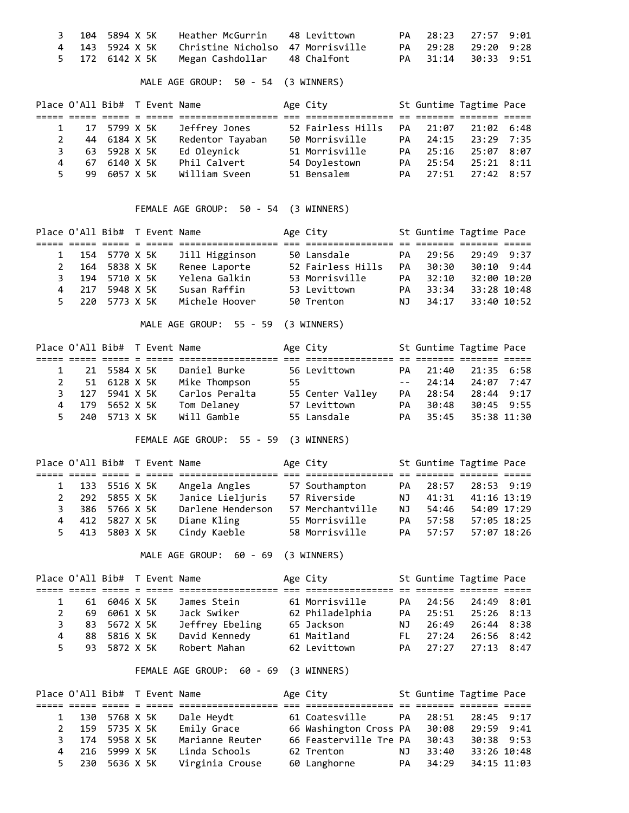|  | 3 104 5894 X 5K Heather McGurrin 48 Levittown     |  | PA 28:23 27:57 9:01 |  |
|--|---------------------------------------------------|--|---------------------|--|
|  | 4 143 5924 X 5K Christine Nicholso 47 Morrisville |  | PA 29:28 29:20 9:28 |  |
|  | 5 172 6142 X 5K Megan Cashdollar 48 Chalfont      |  | PA 31:14 30:33 9:51 |  |

MALE AGE GROUP: 50 - 54 (3 WINNERS)

|              | Place O'All Bib# T Event Name |              |  |                  | Age City          |    |       | St Guntime Tagtime Pace |  |
|--------------|-------------------------------|--------------|--|------------------|-------------------|----|-------|-------------------------|--|
|              |                               |              |  |                  |                   |    |       |                         |  |
|              |                               | 17 5799 X 5K |  | Jeffrey Jones    | 52 Fairless Hills | PA | 21:07 | 21:02 6:48              |  |
| $\mathbf{2}$ |                               | 44 6184 X 5K |  | Redentor Tayaban | 50 Morrisville    | PA | 24:15 | 23:29 7:35              |  |
|              | 3.                            | 63 5928 X 5K |  | Ed Oleynick      | 51 Morrisville    | PA | 25:16 | 25:07 8:07              |  |
| 4            | 67                            | 6140 X 5K    |  | Phil Calvert     | 54 Doylestown     | PA | 25:54 | 25:21 8:11              |  |
| 5.           | 99.                           | 6057 X 5K    |  | William Sveen    | 51 Bensalem       | PA | 27:51 | $27:42$ 8:57            |  |

FEMALE AGE GROUP: 50 - 54 (3 WINNERS)

|    | Place O'All Bib# T Event Name |           |  |                  | Age City          |     |       | St Guntime Tagtime Pace |  |
|----|-------------------------------|-----------|--|------------------|-------------------|-----|-------|-------------------------|--|
|    |                               |           |  | ---------------- | --------------    |     |       |                         |  |
|    | 1 154 5770 X 5K               |           |  | Jill Higginson   | 50 Lansdale       | PA  | 29:56 | $29:49$ $9:37$          |  |
| 2  | 164                           | 5838 X 5K |  | Renee Laporte    | 52 Fairless Hills | PA  | 30:30 | $30:10$ 9:44            |  |
| 3. | 194                           | 5710 X 5K |  | Yelena Galkin    | 53 Morrisville    | PA  | 32:10 | 32:00 10:20             |  |
|    | 4 217                         | 5948 X 5K |  | Susan Raffin     | 53 Levittown      | PA  | 33:34 | 33:28 10:48             |  |
| 5. | 220                           | 5773 X 5K |  | Michele Hoover   | 50 Trenton        | NJ. | 34:17 | 33:40 10:52             |  |
|    |                               |           |  |                  |                   |     |       |                         |  |

MALE AGE GROUP: 55 - 59 (3 WINNERS)

|             | Place O'All Bib# T Event Name |  |                |     | Age City         |     | St Guntime Tagtime Pace |              |  |
|-------------|-------------------------------|--|----------------|-----|------------------|-----|-------------------------|--------------|--|
|             |                               |  |                |     |                  |     |                         |              |  |
|             | 21 5584 X 5K                  |  | Daniel Burke   |     | 56 Levittown     | PA  | 21:40                   | 21:35 6:58   |  |
| $2^{\circ}$ | 51 6128 X 5K                  |  | Mike Thompson  | 55. |                  |     | $-- 24:14$              | $24:07$ 7:47 |  |
|             | 3 127 5941 X 5K               |  | Carlos Peralta |     | 55 Center Valley | PA  | 28:54                   | $28:44$ 9:17 |  |
|             | 4 179 5652 X 5K               |  | Tom Delaney    |     | 57 Levittown     | PA. | 30:48                   | 30:45 9:55   |  |
|             | 5 240 5713 X 5K               |  | Will Gamble    |     | 55 Lansdale      | PA  | 35:45                   | 35:38 11:30  |  |

FEMALE AGE GROUP: 55 - 59 (3 WINNERS)

|   | Place O'All Bib# T Event Name |               |  |                   | Age City             |     |       | St Guntime Tagtime Pace |  |
|---|-------------------------------|---------------|--|-------------------|----------------------|-----|-------|-------------------------|--|
|   | ----- ----- ----- -           |               |  | ----------------  | --------------- -- - |     |       |                         |  |
|   | 1 133 5516 X 5K               |               |  | Angela Angles     | 57 Southampton       | PA  | 28:57 | $28:53$ 9:19            |  |
|   | 2 292 5855 X 5K               |               |  | Janice Lieljuris  | 57 Riverside         | NJ. | 41:31 | 41:16 13:19             |  |
|   | 3 386 5766 X 5K               |               |  | Darlene Henderson | 57 Merchantville     | NJ. | 54:46 | 54:09 17:29             |  |
| 4 |                               | 412 5827 X 5K |  | Diane Kling       | 55 Morrisville       | PA. | 57:58 | 57:05 18:25             |  |
|   | 5 413 5803 X 5K               |               |  | Cindy Kaeble      | 58 Morrisville       | PA  | 57:57 | 57:07 18:26             |  |

MALE AGE GROUP: 60 - 69 (3 WINNERS)

|   | Place O'All Bib# T Event Name |              |  |                 | Age City        |           | St Guntime Tagtime Pace |                |  |
|---|-------------------------------|--------------|--|-----------------|-----------------|-----------|-------------------------|----------------|--|
|   |                               |              |  |                 |                 |           |                         |                |  |
|   | 61                            | 6046 X 5K    |  | James Stein     | 61 Morrisville  | PA        | 24:56                   | 24:49 8:01     |  |
|   | 69                            | 6061 X 5K    |  | Jack Swiker     | 62 Philadelphia | <b>PA</b> | 25:51                   | $25:26$ 8:13   |  |
| 3 |                               | 83 5672 X 5K |  | Jeffrey Ebeling | 65 Jackson      | NJ.       | 26:49                   | 26:44 8:38     |  |
| 4 | 88                            | 5816 X 5K    |  | David Kennedy   | 61 Maitland     | EL.       | 27:24                   | $26:56$ $8:42$ |  |
|   | 93.<br>5.                     | 5872 X 5K    |  | Robert Mahan    | 62 Levittown    | PA        | 27:27                   | $27:13$ $8:47$ |  |

FEMALE AGE GROUP: 60 - 69 (3 WINNERS)

| Place O'All Bib# T Event Name |               |  |                 | Age City               |     |       | St Guntime Tagtime Pace |  |
|-------------------------------|---------------|--|-----------------|------------------------|-----|-------|-------------------------|--|
|                               | ----- ----- - |  |                 |                        |     |       |                         |  |
| 1 130 5768 X 5K               |               |  | Dale Heydt      | 61 Coatesville         | PA  | 28:51 | $28:45$ 9:17            |  |
| 2 159 5735 X 5K               |               |  | Emily Grace     | 66 Washington Cross PA |     | 30:08 | 29:59 9:41              |  |
| 3 174                         | 5958 X 5K     |  | Marianne Reuter | 66 Feasterville Tre PA |     | 30:43 | 30:38 9:53              |  |
| 4 216 5999 X 5K               |               |  | Linda Schools   | 62 Trenton             | NJ. | 33:40 | 33:26 10:48             |  |
| 5 230 5636 X 5K               |               |  | Virginia Crouse | 60 Langhorne           | PA  | 34:29 | 34:15 11:03             |  |